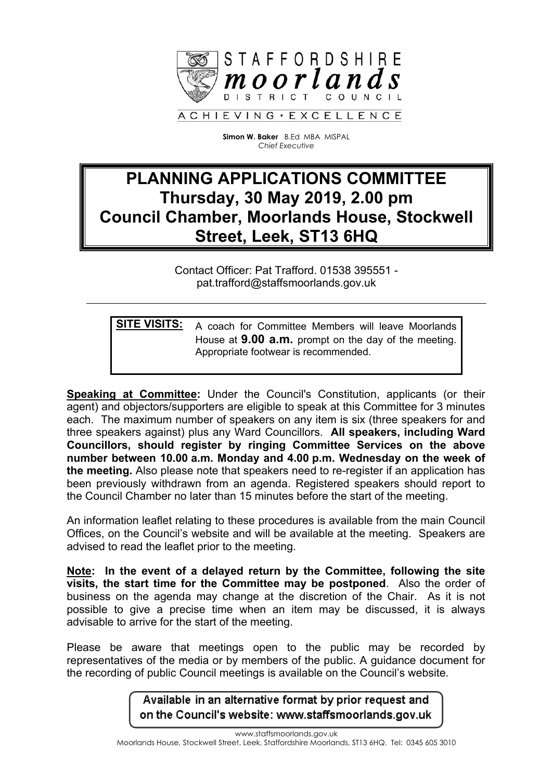

**Simon W. Baker** B.Ed MBA MISPAL *Chief Executive*

## **PLANNING APPLICATIONS COMMITTEE Thursday, 30 May 2019, 2.00 pm Council Chamber, Moorlands House, Stockwell Street, Leek, ST13 6HQ**

Contact Officer: Pat Trafford. 01538 395551 pat.trafford@staffsmoorlands.gov.uk

**SITE VISITS:** A coach for Committee Members will leave Moorlands House at **9.00 a.m.** prompt on the day of the meeting. Appropriate footwear is recommended.

**Speaking at Committee:** Under the Council's Constitution, applicants (or their agent) and objectors/supporters are eligible to speak at this Committee for 3 minutes each. The maximum number of speakers on any item is six (three speakers for and three speakers against) plus any Ward Councillors. **All speakers, including Ward Councillors, should register by ringing Committee Services on the above number between 10.00 a.m. Monday and 4.00 p.m. Wednesday on the week of the meeting.** Also please note that speakers need to re-register if an application has been previously withdrawn from an agenda. Registered speakers should report to the Council Chamber no later than 15 minutes before the start of the meeting.

An information leaflet relating to these procedures is available from the main Council Offices, on the Council's website and will be available at the meeting. Speakers are advised to read the leaflet prior to the meeting.

**Note: In the event of a delayed return by the Committee, following the site visits, the start time for the Committee may be postponed**. Also the order of business on the agenda may change at the discretion of the Chair. As it is not possible to give a precise time when an item may be discussed, it is always advisable to arrive for the start of the meeting.

Please be aware that meetings open to the public may be recorded by representatives of the media or by members of the public. A guidance document for the recording of public Council meetings is available on the Council's website.

> Available in an alternative format by prior request and on the Council's website: www.staffsmoorlands.gov.uk

www.staffsmoorlands.gov.uk Moorlands House, Stockwell Street, Leek, Staffordshire Moorlands, ST13 6HQ. Tel: 0345 605 3010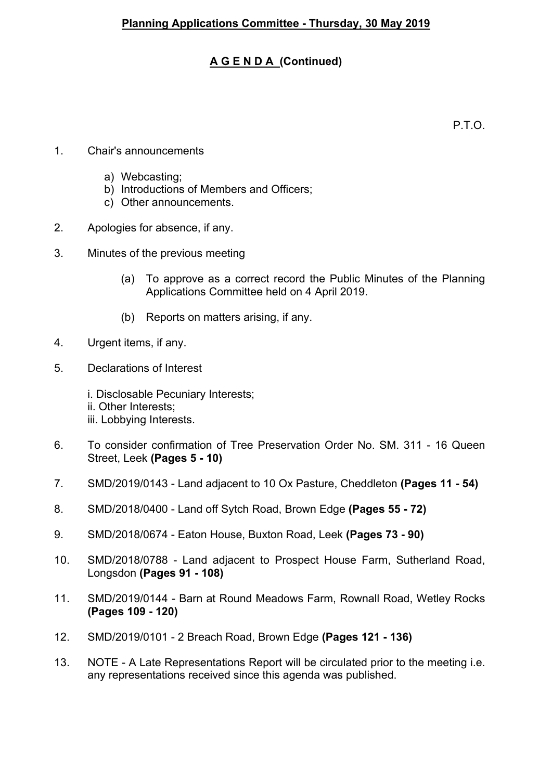## **A G E N D A (Continued)**

P.T.O.

- 1. Chair's announcements
	- a) Webcasting;
	- b) Introductions of Members and Officers;
	- c) Other announcements.
- 2. Apologies for absence, if any.
- 3. Minutes of the previous meeting
	- (a) To approve as a correct record the Public Minutes of the Planning Applications Committee held on 4 April 2019.
	- (b) Reports on matters arising, if any.
- 4. Urgent items, if any.
- 5. Declarations of Interest

i. Disclosable Pecuniary Interests; ii. Other Interests; iii. Lobbying Interests.

- 6. To consider confirmation of Tree Preservation Order No. SM. 311 16 Queen Street, Leek **(Pages 5 - 10)**
- 7. SMD/2019/0143 Land adjacent to 10 Ox Pasture, Cheddleton **(Pages 11 - 54)**
- 8. SMD/2018/0400 Land off Sytch Road, Brown Edge **(Pages 55 - 72)**
- 9. SMD/2018/0674 Eaton House, Buxton Road, Leek **(Pages 73 - 90)**
- 10. SMD/2018/0788 Land adjacent to Prospect House Farm, Sutherland Road, Longsdon **(Pages 91 - 108)**
- 11. SMD/2019/0144 Barn at Round Meadows Farm, Rownall Road, Wetley Rocks **(Pages 109 - 120)**
- 12. SMD/2019/0101 2 Breach Road, Brown Edge **(Pages 121 - 136)**
- 13. NOTE A Late Representations Report will be circulated prior to the meeting i.e. any representations received since this agenda was published.